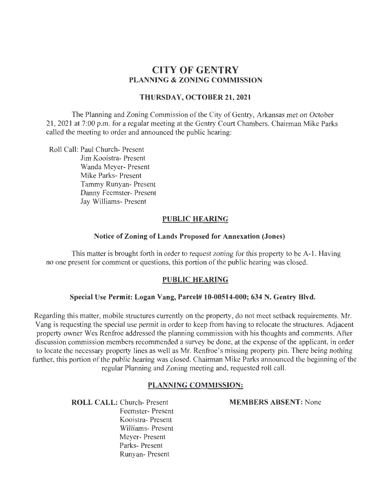# **CITY OF GENTRY PLANNING & ZONING COMMISSION**

### **THURSDAY, OCTOBER 21, 2021**

The Planning and Zoning Commission of the City of Gentry, Arkansas met on October 21, 2021 at 7:00 p.m. for a regular meeting at the Gentry Court Chambers. Chairman Mike Parks called the meeting to order and announced the public hearing:

Roll Call: Paul Church- Present Jim Kooistra- Present Wanda Meyer- Present Mike Parks- Present Tammy Runyan- Present Danny Feemster- Present Jay Williams- Present

### **PUBLIC HEARING**

#### **Notice of Zoning of Lands Proposed for Annexation (Jones)**

This matter is brought forth in order to request zoning for this property to be A-1. Having no one present for comment or questions, this portion of the public hearing was closed.

#### **PUBLIC HEARING**

#### **Special Use Permit: Logan Vang, Parcel# 10-00514-000; 634 N. Gentry Blvd.**

Regarding this matter, mobile structures currently on the property, do not meet setback requirements. Mr. Vang is requesting the special use permit in order to keep from having to relocate the structures. Adjacent property owner Wes Renfroe addressed the planning commission with his thoughts and comments. After discussion commission members recommended a survey be done, at the expense of the applicant, in order to locate the necessary property lines as well as Mr. Renfroe 's missing property pin. There being nothing further, this portion of the public hearing was closed. Chairman Mike Parks announced the beginning of the regular Planning and Zoning meeting and, requested roll call.

### **PLANNING COMMISSION:**

**ROLL CALL:** Church- Present Feemster- Present Kooistra- Present Williams- Present Meyer- Present Parks- Present Runyan- Present

**MEMBERS ABSENT:** None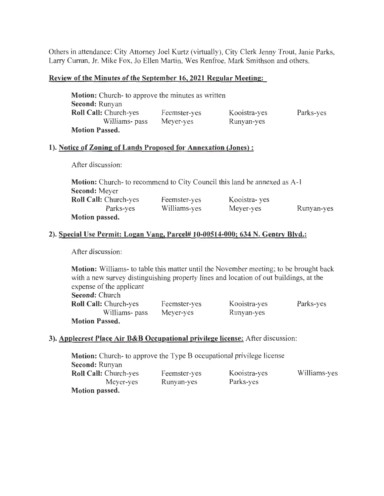Others in attendance: City Attorney Joel Kurtz (virtually), City Clerk Jenny Trout, Janie Parks, Larry Curran, Jr. Mike Fox, Jo Ellen Martin, Wes Renfroe, Mark Smithson and others.

#### Review of the Minutes of the September 16,2021 Regular Meeting:

| <b>Motion:</b> Church- to approve the minutes as written |              |              |           |
|----------------------------------------------------------|--------------|--------------|-----------|
| Second: Runyan                                           |              |              |           |
| <b>Roll Call: Church-yes</b>                             | Feemster-yes | Kooistra-yes | Parks-yes |
| Williams- pass                                           | Meyer-yes    | Runyan-yes   |           |
| <b>Motion Passed.</b>                                    |              |              |           |

### 1). Notice of Zoning of Lands Proposed for Annexation (Jones):

After discussion:

| <b>Motion:</b> Church- to recommend to City Council this land be annexed as A-1 |              |               |            |
|---------------------------------------------------------------------------------|--------------|---------------|------------|
| <b>Second:</b> Meyer                                                            |              |               |            |
| <b>Roll Call: Church-yes</b>                                                    | Feemster-yes | Kooistra- yes |            |
| Parks-yes                                                                       | Williams-yes | Meyer-yes     | Runyan-yes |
| <b>Motion passed.</b>                                                           |              |               |            |

### 2). Special Use Permit: Logan Vang, Parcel# 10-00514-000; 634 N. Gentry Blvd.:

After discussion:

Motion: Williams- to table this matter until the November meeting; to be brought back with a new survey distinguishing property lines and location of out buildings, at the expense of the applicant Second: Church Roll Call: Church-yes Williams- pass Motion Passed. Feemster-yes Meyer-yes Kooistra-yes Runyan-yes Parks-yes

# 3). Applecrest Place Air B&B Occupational privilege license: After discussion:

Motion: Church- to approve the Type B occupational privilege license Second: Runyan Roll Call: Church-yes Meyer-yes Motion passed. Feemster-yes Runyan-yes Kooistra-yes Parks-yes Williams-yes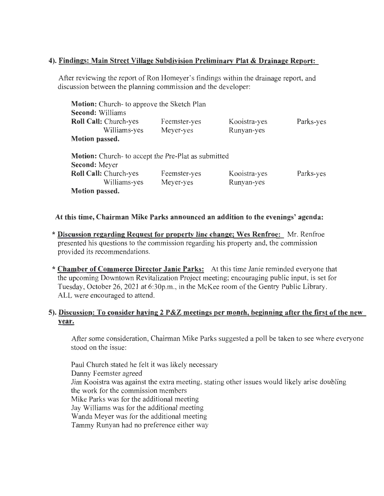## 4). Findings: Main Street Village Subdivision Preliminary Plat & Drainage Report:

After reviewing the report of Ron Homeyer's findings within the drainage report, and discussion between the planning commission and the developer:

| <b>Motion:</b> Church- to approve the Sketch Plan          |              |              |           |
|------------------------------------------------------------|--------------|--------------|-----------|
| <b>Second: Williams</b>                                    |              |              |           |
| Roll Call: Church-yes                                      | Feemster-yes | Kooistra-yes | Parks-yes |
| Williams-yes                                               | Meyer-yes    | Runyan-yes   |           |
| <b>Motion passed.</b>                                      |              |              |           |
| <b>Motion:</b> Church- to accept the Pre-Plat as submitted |              |              |           |
| <b>Second: Meyer</b>                                       |              |              |           |
| Roll Call: Church-yes                                      | Feemster-yes | Kooistra-yes | Parks-yes |
| Williams-yes                                               | Meyer-yes    | Runyan-yes   |           |
| <b>Motion passed.</b>                                      |              |              |           |

### At this time, Chairman Mike Parks announced an addition to the evenings' agenda:

- \*Discussion regarding Request for property line change; Wes Renfroe: Mr. Renfroe presented his questions to the commission regarding his property and, the commission provided its recommendations.
- \* Chamber of Commerce Director Janie Parks: At this time Janie reminded everyone that the upcoming Downtown Revitalization Project meeting; encouraging public input, is set for Tuesday, October 26, 2021 at 6:30p.m., in the McKee room of the Gentry Public Library. ALL were encouraged to attend.

# 5). Discussion: To consider having 2 P&Z meetings per month, beginning after the first of the new year.

After some consideration, Chairman Mike Parks suggested a poll be taken to see where everyone stood on the issue:

Paul Church stated he felt it was likely necessary Danny Feemster agreed Jim Kooistra was against the extra meeting, stating other issues would likely arise doubling the work for the commission members Mike Parks was for the additional meeting Jay Williams was for the additional meeting Wanda Meyer was for the additional meeting Tammy Runyan had no preference either way